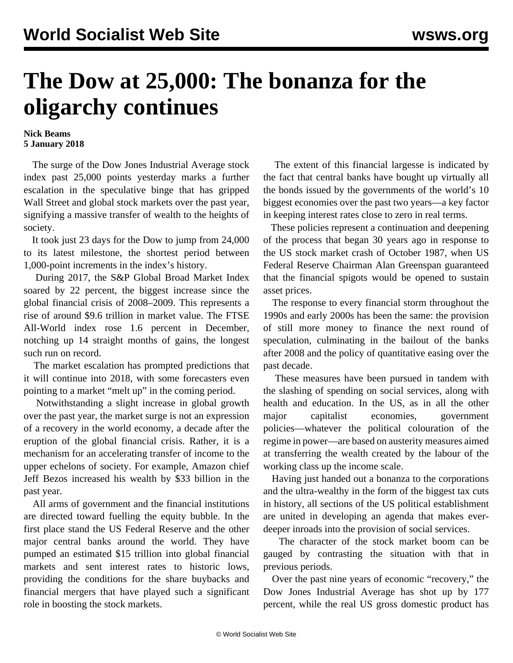## **The Dow at 25,000: The bonanza for the oligarchy continues**

## **Nick Beams 5 January 2018**

 The surge of the Dow Jones Industrial Average stock index past 25,000 points yesterday marks a further escalation in the speculative binge that has gripped Wall Street and global stock markets over the past year, signifying a massive transfer of wealth to the heights of society.

 It took just 23 days for the Dow to jump from 24,000 to its latest milestone, the shortest period between 1,000-point increments in the index's history.

 During 2017, the S&P Global Broad Market Index soared by 22 percent, the biggest increase since the global financial crisis of 2008–2009. This represents a rise of around \$9.6 trillion in market value. The FTSE All-World index rose 1.6 percent in December, notching up 14 straight months of gains, the longest such run on record.

 The market escalation has prompted predictions that it will continue into 2018, with some forecasters even pointing to a market "melt up" in the coming period.

 Notwithstanding a slight increase in global growth over the past year, the market surge is not an expression of a recovery in the world economy, a decade after the eruption of the global financial crisis. Rather, it is a mechanism for an accelerating transfer of income to the upper echelons of society. For example, Amazon chief Jeff Bezos increased his wealth by \$33 billion in the past year.

 All arms of government and the financial institutions are directed toward fuelling the equity bubble. In the first place stand the US Federal Reserve and the other major central banks around the world. They have pumped an estimated \$15 trillion into global financial markets and sent interest rates to historic lows, providing the conditions for the share buybacks and financial mergers that have played such a significant role in boosting the stock markets.

 The extent of this financial largesse is indicated by the fact that central banks have bought up virtually all the bonds issued by the governments of the world's 10 biggest economies over the past two years—a key factor in keeping interest rates close to zero in real terms.

 These policies represent a continuation and deepening of the process that began 30 years ago in response to the US stock market crash of October 1987, when US Federal Reserve Chairman Alan Greenspan guaranteed that the financial spigots would be opened to sustain asset prices.

 The response to every financial storm throughout the 1990s and early 2000s has been the same: the provision of still more money to finance the next round of speculation, culminating in the bailout of the banks after 2008 and the policy of quantitative easing over the past decade.

 These measures have been pursued in tandem with the slashing of spending on social services, along with health and education. In the US, as in all the other major capitalist economies, government policies—whatever the political colouration of the regime in power—are based on austerity measures aimed at transferring the wealth created by the labour of the working class up the income scale.

 Having just handed out a bonanza to the corporations and the ultra-wealthy in the form of the biggest tax cuts in history, all sections of the US political establishment are united in developing an agenda that makes everdeeper inroads into the provision of social services.

 The character of the stock market boom can be gauged by contrasting the situation with that in previous periods.

 Over the past nine years of economic "recovery," the Dow Jones Industrial Average has shot up by 177 percent, while the real US gross domestic product has